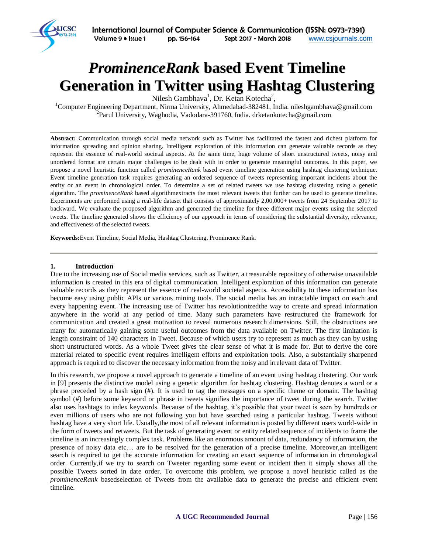

# *ProminenceRank* **based Event Timeline Generation in Twitter using Hashtag Clustering**

Nilesh Gambhava<sup>1</sup>, Dr. Ketan Kotecha<sup>2</sup>,

<sup>1</sup>Computer Engineering Department, Nirma University, Ahmedabad-382481, India. nileshgambhava@gmail.com <sup>2</sup> Parul University, Waghodia, Vadodara-391760, India. drketankotecha@gmail.com

**Abstract:** Communication through social media network such as Twitter has facilitated the fastest and richest platform for information spreading and opinion sharing. Intelligent exploration of this information can generate valuable records as they represent the essence of real-world societal aspects. At the same time, huge volume of short unstructured tweets, noisy and unordered format are certain major challenges to be dealt with in order to generate meaningful outcomes. In this paper, we propose a novel heuristic function called *prominenceRank* based event timeline generation using hashtag clustering technique. Event timeline generation task requires generating an ordered sequence of tweets representing important incidents about the entity or an event in chronological order. To determine a set of related tweets we use hashtag clustering using a genetic algorithm. The *prominenceRank* based algorithmextracts the most relevant tweets that further can be used to generate timeline. Experiments are performed using a real-life dataset that consists of approximately 2,00,000+ tweets from 24 September 2017 to backward. We evaluate the proposed algorithm and generated the timeline for three different major events using the selected tweets. The timeline generated shows the efficiency of our approach in terms of considering the substantial diversity, relevance, and effectiveness of the selected tweets.

**Keywords:**Event Timeline, Social Media, Hashtag Clustering, Prominence Rank.

#### **1. Introduction**

Due to the increasing use of Social media services, such as Twitter, a treasurable repository of otherwise unavailable information is created in this era of digital communication. Intelligent exploration of this information can generate valuable records as they represent the essence of real-world societal aspects. Accessibility to these information has become easy using public APIs or various mining tools. The social media has an intractable impact on each and every happening event. The increasing use of Twitter has revolutionizedthe way to create and spread information anywhere in the world at any period of time. Many such parameters have restructured the framework for communication and created a great motivation to reveal numerous research dimensions. Still, the obstructions are many for automatically gaining some useful outcomes from the data available on Twitter. The first limitation is length constraint of 140 characters in Tweet. Because of which users try to represent as much as they can by using short unstructured words. As a whole Tweet gives the clear sense of what it is made for. But to derive the core material related to specific event requires intelligent efforts and exploitation tools. Also, a substantially sharpened approach is required to discover the necessary information from the noisy and irrelevant data of Twitter.

In this research, we propose a novel approach to generate a timeline of an event using hashtag clustering. Our work in [9] presents the distinctive model using a genetic algorithm for hashtag clustering. Hashtag denotes a word or a phrase preceded by a hash sign (#). It is used to tag the messages on a specific theme or domain. The hashtag symbol (#) before some keyword or phrase in tweets signifies the importance of tweet during the search. Twitter also uses hashtags to index keywords. Because of the hashtag, it's possible that your tweet is seen by hundreds or even millions of users who are not following you but have searched using a particular hashtag. Tweets without hashtag have a very short life. Usually,the most of all relevant information is posted by different users world-wide in the form of tweets and retweets. But the task of generating event or entity related sequence of incidents to frame the timeline is an increasingly complex task. Problems like an enormous amount of data, redundancy of information, the presence of noisy data etc… are to be resolved for the generation of a precise timeline. Moreover,an intelligent search is required to get the accurate information for creating an exact sequence of information in chronological order. Currently,if we try to search on Tweeter regarding some event or incident then it simply shows all the possible Tweets sorted in date order. To overcome this problem, we propose a novel heuristic called as the *prominenceRank* basedselection of Tweets from the available data to generate the precise and efficient event timeline.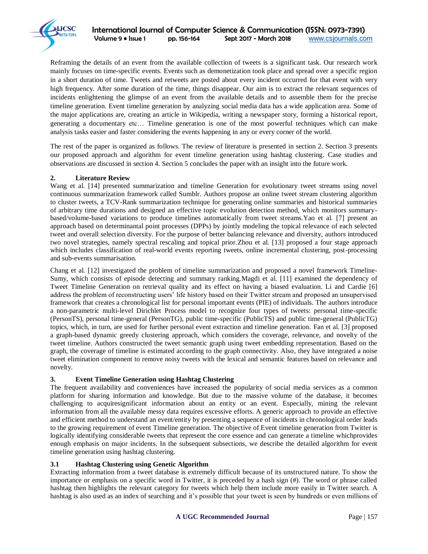

Reframing the details of an event from the available collection of tweets is a significant task. Our research work mainly focuses on time-specific events. Events such as demonetization took place and spread over a specific region in a short duration of time. Tweets and retweets are posted about every incident occurred for that event with very high frequency. After some duration of the time, things disappear. Our aim is to extract the relevant sequences of incidents enlightening the glimpse of an event from the available details and to assemble them for the precise timeline generation. Event timeline generation by analyzing social media data has a wide application area. Some of the major applications are, creating an article in Wikipedia, writing a newspaper story, forming a historical report, generating a documentary etc… Timeline generation is one of the most powerful techniques which can make analysis tasks easier and faster considering the events happening in any or every corner of the world.

The rest of the paper is organized as follows. The review of literature is presented in section 2. Section 3 presents our proposed approach and algorithm for event timeline generation using hashtag clustering. Case studies and observations are discussed in section 4. Section 5 concludes the paper with an insight into the future work.

# **2. Literature Review**

Wang et al. [14] presented summarization and timeline Generation for evolutionary tweet streams using novel continuous summarization framework called Sumblr. Authors propose an online tweet stream clustering algorithm to cluster tweets, a TCV-Rank summarization technique for generating online summaries and historical summaries of arbitrary time durations and designed an effective topic evolution detection method, which monitors summarybased/volume-based variations to produce timelines automatically from tweet streams.Yao et al. [7] present an approach based on determinantal point processes (DPPs) by jointly modeling the topical relevance of each selected tweet and overall selection diversity. For the purpose of better balancing relevance and diversity, authors introduced two novel strategies, namely spectral rescaling and topical prior.Zhou et al. [13] proposed a four stage approach which includes classification of real-world events reporting tweets, online incremental clustering, post-processing and sub-events summarisation.

Chang et al. [12] investigated the problem of timeline summarization and proposed a novel framework Timeline-Sumy, which consists of episode detecting and summary ranking.Magdi et al. [11] examined the dependency of Tweet Timeline Generation on retrieval quality and its effect on having a biased evaluation. Li and Cardie [6] address the problem of reconstructing users' life history based on their Twitter stream and proposed an unsupervised framework that creates a chronological list for personal important events (PIE) of individuals. The authors introduce a non-parametric multi-level Dirichlet Process model to recognize four types of tweets: personal time-specific (PersonTS), personal time-general (PersonTG), public time-specific (PublicTS) and public time-general (PublicTG) topics, which, in turn, are used for further personal event extraction and timeline generation. Fan et al. [3] proposed a graph-based dynamic greedy clustering approach, which considers the coverage, relevance, and novelty of the tweet timeline. Authors constructed the tweet semantic graph using tweet embedding representation. Based on the graph, the coverage of timeline is estimated according to the graph connectivity. Also, they have integrated a noise tweet elimination component to remove noisy tweets with the lexical and semantic features based on relevance and novelty.

## **3. Event Timeline Generation using Hashtag Clustering**

The frequent availability and conveniences have increased the popularity of social media services as a common platform for sharing information and knowledge. But due to the massive volume of the database, it becomes challenging to acquiresignificant information about an entity or an event. Especially, mining the relevant information from all the available messy data requires excessive efforts. A generic approach to provide an effective and efficient method to understand an event/entity by presenting a sequence of incidents in chronological order leads to the growing requirement of event Timeline generation. The objective of Event timeline generation from Twitter is logically identifying considerable tweets that represent the core essence and can generate a timeline whichprovides enough emphasis on major incidents. In the subsequent subsections, we describe the detailed algorithm for event timeline generation using hashtag clustering.

## **3.1 Hashtag Clustering using Genetic Algorithm**

Extracting information from a tweet database is extremely difficult because of its unstructured nature. To show the importance or emphasis on a specific word in Twitter, it is preceded by a hash sign (#). The word or phrase called hashtag then highlights the relevant category for tweets which help them include more easily in Twitter search. A hashtag is also used as an index of searching and it's possible that your tweet is seen by hundreds or even millions of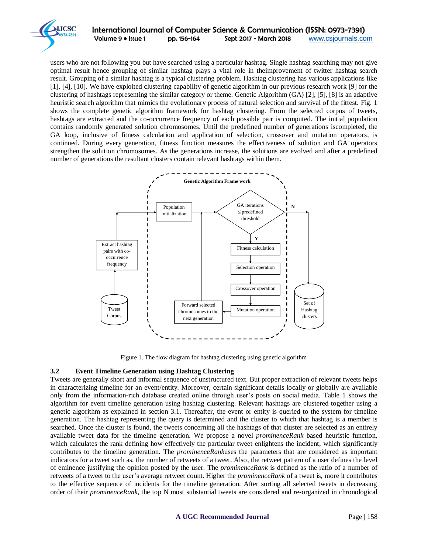

users who are not following you but have searched using a particular hashtag. Single hashtag searching may not give optimal result hence grouping of similar hashtag plays a vital role in theimprovement of twitter hashtag search result. Grouping of a similar hashtag is a typical clustering problem. Hashtag clustering has various applications like [1], [4], [10]. We have exploited clustering capability of genetic algorithm in our previous research work [9] for the clustering of hashtags representing the similar category or theme. Genetic Algorithm (GA) [2], [5], [8] is an adaptive heuristic search algorithm that mimics the evolutionary process of natural selection and survival of the fittest. Fig. 1 shows the complete genetic algorithm framework for hashtag clustering. From the selected corpus of tweets, hashtags are extracted and the co-occurrence frequency of each possible pair is computed. The initial population contains randomly generated solution chromosomes. Until the predefined number of generations iscompleted, the GA loop, inclusive of fitness calculation and application of selection, crossover and mutation operators, is continued. During every generation, fitness function measures the effectiveness of solution and GA operators strengthen the solution chromosomes. As the generations increase, the solutions are evolved and after a predefined number of generations the resultant clusters contain relevant hashtags within them.



Figure 1. The flow diagram for hashtag clustering using genetic algorithm

# **3.2 Event Timeline Generation using Hashtag Clustering**

Tweets are generally short and informal sequence of unstructured text. But proper extraction of relevant tweets helps in characterizing timeline for an event/entity. Moreover, certain significant details locally or globally are available only from the information-rich database created online through user's posts on social media. Table 1 shows the algorithm for event timeline generation using hashtag clustering. Relevant hashtags are clustered together using a genetic algorithm as explained in section 3.1. Thereafter, the event or entity is queried to the system for timeline generation. The hashtag representing the query is determined and the cluster to which that hashtag is a member is searched. Once the cluster is found, the tweets concerning all the hashtags of that cluster are selected as an entirely available tweet data for the timeline generation. We propose a novel *prominenceRank* based heuristic function, which calculates the rank defining how effectively the particular tweet enlightens the incident, which significantly contributes to the timeline generation. The *prominenceRank*uses the parameters that are considered as important indicators for a tweet such as, the number of retweets of a tweet. Also, the retweet pattern of a user defines the level of eminence justifying the opinion posted by the user. The *prominenceRank* is defined as the ratio of a number of retweets of a tweet to the user's average retweet count. Higher the *prominenceRank* of a tweet is, more it contributes to the effective sequence of incidents for the timeline generation. After sorting all selected tweets in decreasing order of their *prominenceRank*, the top N most substantial tweets are considered and re-organized in chronological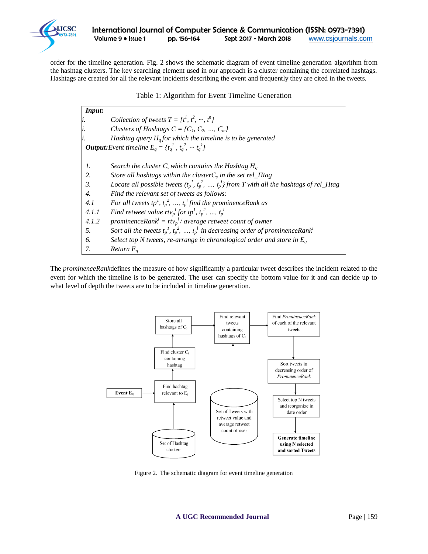

order for the timeline generation. Fig. 2 shows the schematic diagram of event timeline generation algorithm from the hashtag clusters. The key searching element used in our approach is a cluster containing the correlated hashtags. Hashtags are created for all the relevant incidents describing the event and frequently they are cited in the tweets.

| Table 1: Algorithm for Event Timeline Generation |  |  |  |
|--------------------------------------------------|--|--|--|
|--------------------------------------------------|--|--|--|

| Input:           |                                                                                                       |  |  |  |
|------------------|-------------------------------------------------------------------------------------------------------|--|--|--|
|                  | Collection of tweets $T = \{t^1, t^2, \dots, t^n\}$                                                   |  |  |  |
|                  | Clusters of Hashtags $C = \{C_1, C_2, , C_m\}$                                                        |  |  |  |
|                  | Hashtag query $Ha$ for which the timeline is to be generated                                          |  |  |  |
|                  | <b>Output:</b> Event timeline $E_a = \{t_a^1, t_a^2, \dots, t_a^k\}$                                  |  |  |  |
| 1.               | Search the cluster $C_s$ which contains the Hashtag $H_a$                                             |  |  |  |
| 2.               | Store all hashtags within the cluster $C_s$ in the set rel_Htag                                       |  |  |  |
| $\mathfrak{Z}$ . | Locate all possible tweets $(t_p^1, t_p^2, , t_p^l)$ from T with all the hashtags of rel_Htag         |  |  |  |
| $\overline{4}$ . | Find the relevant set of tweets as follows:                                                           |  |  |  |
| 4.1              | For all tweets tp <sup>1</sup> , $t_p^2$ , , $t_p^1$ find the prominenceRank as                       |  |  |  |
| 4.1.1            | Find retweet value rtv <sub>p</sub> <sup>i</sup> for tp <sup>1</sup> , $t_p^2$ , , $t_p^1$            |  |  |  |
| 4.1.2            | prominenceRank <sup>i</sup> = $rtv_p$ <sup>i</sup> /average retweet count of owner                    |  |  |  |
| 5.               | Sort all the tweets $t_p^l$ , $t_p^2$ , , $t_p^l$ in decreasing order of prominence Rank <sup>i</sup> |  |  |  |
| 6.               | Select top N tweets, re-arrange in chronological order and store in $E_a$                             |  |  |  |
| 7.               | Return $E_a$                                                                                          |  |  |  |

The *prominenceRank*defines the measure of how significantly a particular tweet describes the incident related to the event for which the timeline is to be generated. The user can specify the bottom value for it and can decide up to what level of depth the tweets are to be included in timeline generation.



Figure 2. The schematic diagram for event timeline generation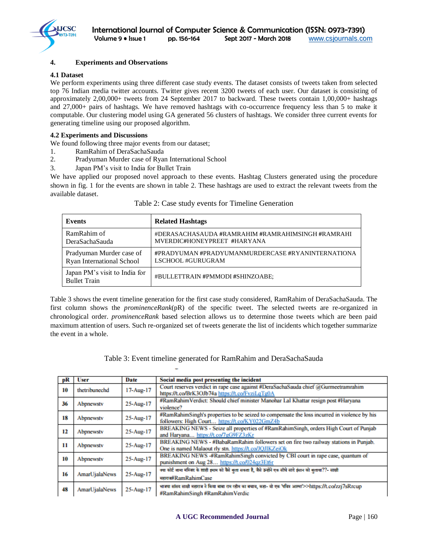

## **4. Experiments and Observations**

#### **4.1 Dataset**

We perform experiments using three different case study events. The dataset consists of tweets taken from selected top 76 Indian media twitter accounts. Twitter gives recent 3200 tweets of each user. Our dataset is consisting of approximately 2,00,000+ tweets from 24 September 2017 to backward. These tweets contain 1,00,000+ hashtags and 27,000+ pairs of hashtags. We have removed hashtags with co-occurrence frequency less than 5 to make it computable. Our clustering model using GA generated 56 clusters of hashtags. We consider three current events for generating timeline using our proposed algorithm.

#### **4.2 Experiments and Discussions**

We found following three major events from our dataset;

- 1. RamRahim of DeraSachaSauda
- 2. Pradyuman Murder case of Ryan International School
- 3. Japan PM's visit to India for Bullet Train

We have applied our proposed novel approach to these events. Hashtag Clusters generated using the procedure shown in fig. 1 for the events are shown in table 2. These hashtags are used to extract the relevant tweets from the available dataset.

| Events                                               | <b>Related Hashtags</b>                           |
|------------------------------------------------------|---------------------------------------------------|
| RamRahim of                                          | #DERASACHASAUDA #RAMRAHIM #RAMRAHIMSINGH #RAMRAHI |
| DeraSachaSauda                                       | MVERDIC#HONEYPREET #HARYANA                       |
| Pradyuman Murder case of                             | #PRADYUMAN #PRADYUMANMURDERCASE #RYANINTERNATIONA |
| Ryan International School                            | LSCHOOL #GURUGRAM                                 |
| Japan PM's visit to India for<br><b>Bullet Train</b> | #BULLETTRAIN #PMMODI #SHINZOABE;                  |

#### Table 2: Case study events for Timeline Generation

Table 3 shows the event timeline generation for the first case study considered, RamRahim of DeraSachaSauda. The first column shows the *prominenceRank*(pR) of the specific tweet. The selected tweets are re-organized in chronological order. *prominenceRank* based selection allows us to determine those tweets which are been paid maximum attention of users. Such re-organized set of tweets generate the list of incidents which together summarize the event in a whole.

| pR | <b>User</b>   | Date      | Social media post presenting the incident                                                                                                    |
|----|---------------|-----------|----------------------------------------------------------------------------------------------------------------------------------------------|
| 10 | thetribunechd | 17-Aug-17 | Court reserves verdict in rape case against #DeraSachaSauda chief @Gurmeetramrahim<br>https://t.co/BrK3OJb74a https://t.co/FvziLqTg0A        |
| 36 | Abpnewsty     | 25-Aug-17 | #RamRahimVerdict: Should chief minister Manohar Lal Khattar resign post #Harvana<br>violence?                                                |
| 18 | Abpnewsty     | 25-Aug-17 | #RamRahimSingh's properties to be seized to compensate the loss incurred in violence by his<br>followers: High Court https://t.co/KY022GmZ4b |
| 12 | Abpnewstv     | 25-Aug-17 | BREAKING NEWS - Seize all properties of #RamRahimSingh, orders High Court of Punjab<br>and Harvana https://t.co/7gG9FZ3zKr                   |
| 11 | Abpnewsty     | 25-Aug-17 | BREAKING NEWS - #BabaRamRahim followers set on fire two railway stations in Punjab.<br>One is named Malaout rly stn. https://t.co/JQJIKZeiOk |
| 10 | Abpnewsty     | 25-Aug-17 | BREAKING NEWS -#RamRahimSingh convicted by CBI court in rape case, quantum of<br>punishment on Aug 28 https://t.co/024qz3Et6r                |
| 16 | AmarUjalaNews | 25-Aug-17 | क्या कोर्ट जामा मस्जिद के शाही इमाम को वैसे बुला सकता है, जैसे उन्होंने एक सीधे सादे इंसान को बुलाया??- साक्षी<br>налл#RamRahimCase          |
| 48 | AmarUjalaNews | 25-Aug-17 | भावपा सांसद साक्षी महाराव ने किया बाबा राम रहीम का बचाव, कहा- वो एक 'पवित्र आत्मा'>>https://t.co/zzi7sRrcup<br>#RamRahimSingh#RamRahimVerdic |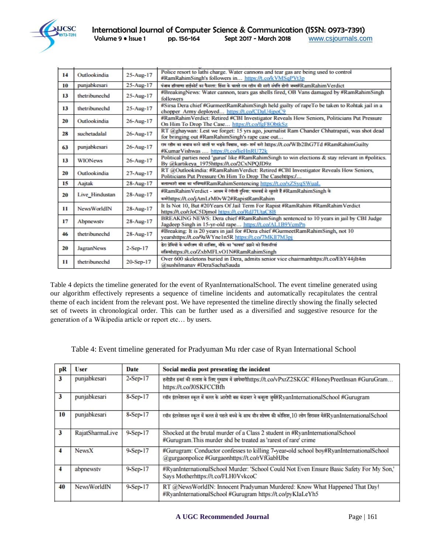

| 14 | Outlookindia       | 25-Aug-17  | Police resort to lathi charge. Water cannons and tear gas are being used to control<br>#RamRahimSingh's followers in https://t.co/kVMSqPVt3p   |
|----|--------------------|------------|------------------------------------------------------------------------------------------------------------------------------------------------|
| 10 | punjabkesari       | 25-Aug-17  | पंजाब हरियाणा हाईकोर्ट का फैसला. हिंसा के चलते राम रहीम की सारी संपत्ति होगी जब्त#RamRahimVerdict                                              |
| 13 | thetribunechd      | 25-Aug-17  | #BreakingNews: Water cannon, tears gas shells fired, OB Vans damaged by #RamRahimSingh<br>followers                                            |
| 13 | thetribunechd      | 25-Aug-17  | #Sirsa Dera chief #GurmeetRamRahimSingh held guilty of rapeTo be taken to Rohtak jail in a<br>chopper Army deployed https://t.co/CDaU4jpoC9    |
| 20 | Outlookindia       | 26-Aug-17  | #RamRahimVerdict: Retired #CBI Investigator Reveals How Seniors, Politicians Put Pressure<br>On Him To Drop The Case https://t.co/fgF8ObtkSz   |
| 28 | suchetadalal       | 26-Aug-17  | RT @ghaywan: Lest we forget: 15 yrs ago, journalist Ram Chander Chhatrapati, was shot dead<br>for bringing out #RamRahimSingh's rape case out  |
| 63 | punjabkesari       | 26-Aug-17  | राम रहीम का बचाव करने वालों पर भड़के विश्वास, कहा- शर्म करो https://t.co/WIb2IhG7Td #RamRahimGuilty<br>#KumarVishwas  https://t.co/lieHnRU72k  |
| 13 | <b>WIONews</b>     | 26-Aug-17  | Political parties need 'gurus' like #RamRahimSingh to win elections & stay relevant in #politics.<br>By @kartikeya 1975https://t.co/2CxNPQJD9z |
| 20 | Outlookindia       | 27-Aug-17  | RT @Outlookindia: #RamRahimVerdict: Retired #CBI Investigator Reveals How Seniors,<br>Politicians Put Pressure On Him To Drop The Casehttps:/  |
| 15 | Aajtak             | 28-Aug-17  | बलात्कारी बाबा का भविष्य#RamRahimSentencing https://t.co/xZSyqSWuaL                                                                            |
| 20 | Live_Hindustan     | 28-Aug-17  | #RamRahimVerdict - आश्रम में रंगीली दुनिया: पासवर्ड से खूलते हैं #RamRahimSingh के<br>कमेhttps://t.co/jAmLrM0vW2#RapistRamRahim                |
| 11 | <b>NewsWorldIN</b> | 28-Aug-17  | It Is Not 10, But #20Years Of Jail Term For Rapist #RamRahim #RamRahim Verdict<br>https://t.co/rJoC5Djmol https://t.co/RdJ7UtaC8B              |
| 17 | Abpnewstv          | 28-Aug-17  | BREAKING NEWS: Dera chief #RamRahimSingh sentenced to 10 years in jail by CBI Judge<br>Jagdeep Singh in 15-yr-old rape https://t.co/AL1B9VcmPn |
| 46 | thetribunechd      | 28-Aug-17  | #Breaking: It is 20 years in jail for #Dera chief #GurmeetRamRahimSingh, not 10<br>yearshttps://t.co/9aWYne1n5R https://t.co/7MKll7M3pj        |
| 20 | <b>JagranNews</b>  | $2-Sep-17$ | डेरा प्रेमियों के धर्मारतण की साविश, मौके का 'फायदा' उठाने को मिशनरियां<br>सक्रिकhttps://t.co/ZxbMFLvO1N#RamRahimSingh                         |
| 11 | thetribunechd      | 20-Sep-17  | Over 600 skeletons buried in Dera, admits senior vice chairmanhttps://t.co/EhY44jIt4m<br>@sushilmanav #DeraSachaSauda                          |

Table 4 depicts the timeline generated for the event of RyanInternationalSchool. The event timeline generated using our algorithm effectively represents a sequence of timeline incidents and automatically recapitulates the central theme of each incident from the relevant post. We have represented the timeline directly showing the finally selected set of tweets in chronological order. This can be further used as a diversified and suggestive resource for the generation of a Wikipedia article or report etc… by users.

Table 4: Event timeline generated for Pradyuman Mu rder case of Ryan International School

| рR | User               | Date       | Social media post presenting the incident                                                                                                        |
|----|--------------------|------------|--------------------------------------------------------------------------------------------------------------------------------------------------|
| 3  | punjabkesari       | 2-Sep-17   | हनीप्रीत इन्सां की तलाश के लिए गुरुग्राम में छापेमारीhttps://t.co/vPxrZ2SKGC #HoneyPreetInsan #GuruGram<br>https://t.co/J0SKFCCBfh               |
| 3  | punjabkesari       | 8-Sep-17   | स्वॉन इंटरनेशनल स्कूल में करल के आरोपी बस कंडक्टर ने कबूला जुर्मी/RyanInternationalSchool #Gurugram                                              |
| 10 | punjabkesari       | 8-Sep-17   | रयॉन इंटरनेशनल स्कूल में करल से पहले बच्चे के साथ यौन शोषण की कोशिश, 10 लोग हिरासत में#RyanInternationalSchool                                   |
| 3  | RajatSharmaLive    | $9-Sep-17$ | Shocked at the brutal murder of a Class 2 student in #RyanInternationalSchool<br>#Gurugram. This murder shd be treated as 'rarest of rare' crime |
| 4  | <b>NewsX</b>       | $9-Sep-17$ | #Gurugram: Conductor confesses to killing 7-year-old school boy#RyanInternationalSchool<br>@gurgaonpolice #Gurgaonhttps://t.co/rVfGabHJbe        |
| 4  | abpnewsty          | $9-Sep-17$ | #RyanInternationalSchool Murder: 'School Could Not Even Ensure Basic Safety For My Son,'<br>Says Motherhttps://t.co/FLH0VvkcoC                   |
| 40 | <b>NewsWorldIN</b> | $9-Sep-17$ | RT @NewsWorldIN: Innocent Pradyuman Murdered: Know What Happened That Day!<br>#RyanInternationalSchool #Gurugram https://t.co/pyKIaLeYh5         |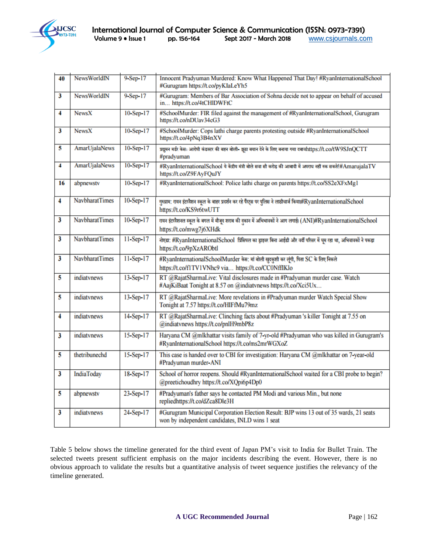

| 40                      | <b>NewsWorldIN</b>    | 9-Sep-17  | Innocent Pradyuman Murdered: Know What Happened That Day! #RyanInternationalSchool<br>#Gurugram https://t.co/pyKIaLeYh5                        |
|-------------------------|-----------------------|-----------|------------------------------------------------------------------------------------------------------------------------------------------------|
| 3                       | <b>NewsWorldIN</b>    | 9-Sep-17  | #Gurugram: Members of Bar Association of Sohna decide not to appear on behalf of accused<br>in https://t.co/4tCHlDWFtC                         |
| 4                       | <b>NewsX</b>          | 10-Sep-17 | #SchoolMurder: FIR filed against the management of #RyanInternationalSchool, Gurugram<br>https://t.co/nDUav34cG3                               |
| 3                       | <b>NewsX</b>          | 10-Sep-17 | #SchoolMurder: Cops lathi charge parents protesting outside #RyanInternationalSchool<br>https://t.co/4pNq3B4nXV                                |
| 5                       | AmarUjalaNews         | 10-Sep-17 | प्रद्यूमन मर्डर केसः आरोपी कंडक्टर की बहन बोली- झूठा बयान देने के लिए बनाया गया दबायhttps://t.co/tW9SJnQCTT<br>#pradyuman                      |
| 4                       | <b>AmarUjalaNews</b>  | 10-Sep-17 | #RyanInternationalSchool ये केंद्रीय मंत्री बोले सवा सौ करोड़ की आबादी में अपराध नहीं रुक सकते!#AmarujalaTV<br>https://t.co/Z9FAyFQuJY         |
| 16                      | abpnewstv             | 10-Sep-17 | #RyanInternationalSchool: Police lathi charge on parents https://t.co/SS2eXFxMg1                                                               |
| 4                       | NavbharatTimes        | 10-Sep-17 | गुरुग्राम: रायन इंटरनैशन स्कूल के बाहर प्रदर्शन कर रहे पैंस्ट्स पर पुलिस ने लाठीचार्ज किया।#RyanInternationalSchool<br>https://t.co/KS9r6twUTT |
| 3                       | <b>NavbharatTimes</b> | 10-Sep-17 | रायन इंटरनैशनल स्कूल के बगल में मौजूद शराब की दुकान में अभिभावकों ने आग लगाई। (ANI)#RyanInternationalSchool<br>https://t.co/mwg7j6XHdk         |
| $\overline{\mathbf{3}}$ | <b>NavbharatTimes</b> | 11-Sep-17 | नोएडा: #RyanInternationalSchool  प्रिंसिपल का ड्राइवर बिना आईडी और वर्दी परिसर में घूम रहा था, अभिवावकों ने पकड़ा<br>https://t.co/9pXzARObtl   |
| 3                       | <b>NavbharatTimes</b> | 11-Sep-17 | #RyanInternationalSchoolMurder केस: मां बोली खुदकुशी कर लूंगी, पिता SC के लिए निकले<br>https://t.co/f1TV1VNhc9 via https://t.co/CC0NffIKlo     |
| 5                       | indiatynews           | 13-Sep-17 | RT @RajatSharmaLive: Vital disclosures made in #Pradyuman murder case. Watch<br>#AajKiBaat Tonight at 8.57 on @indiatvnews https://t.co/Xci5Ux |
| 5                       | indiatynews           | 13-Sep-17 | RT @RajatSharmaLive: More revelations in #Pradyuman murder Watch Special Show<br>Tonight at 7.57 https://t.co/HIFfMu79mz                       |
| 4                       | indiatynews           | 14-Sep-17 | RT @RajatSharmaLive: Clinching facts about #Pradyuman 's killer Tonight at 7.55 on<br>@indiatvnews https://t.co/pnlH9mbP8z                     |
| 3                       | indiatynews           | 15-Sep-17 | Haryana CM @mlkhattar visits family of 7-yr-old #Pradyuman who was killed in Gurugram's<br>#RyanInternationalSchool https://t.co/ms2mrWGXoZ    |
| 5                       | thetribunechd         | 15-Sep-17 | This case is handed over to CBI for investigation: Haryana CM @mlkhattar on 7-year-old<br>#Pradyuman murder-ANI                                |
| 3                       | <b>IndiaToday</b>     | 18-Sep-17 | School of horror reopens. Should #RyanInternationalSchool waited for a CBI probe to begin?<br>@preetichoudhry https://t.co/XQpi6p4Dp0          |
| 5                       | abpnewstv             | 23-Sep-17 | #Pradyuman's father says he contacted PM Modi and various Min., but none<br>repliedhttps://t.co/dZca8Dle3H                                     |
| 3                       | indiatynews           | 24-Sep-17 | #Gurugram Municipal Corporation Election Result: BJP wins 13 out of 35 wards, 21 seats<br>won by independent candidates, INLD wins 1 seat      |

Table 5 below shows the timeline generated for the third event of Japan PM's visit to India for Bullet Train. The selected tweets present sufficient emphasis on the major incidents describing the event. However, there is no obvious approach to validate the results but a quantitative analysis of tweet sequence justifies the relevancy of the timeline generated.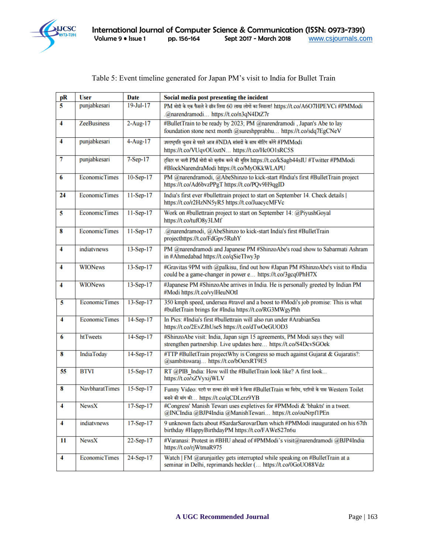

| pR                  | <b>User</b>           | <b>Date</b>     | Social media post presenting the incident                                                          |
|---------------------|-----------------------|-----------------|----------------------------------------------------------------------------------------------------|
| 5                   | punjabkesari          | $19$ -Jul- $17$ | PM मोदी के एक फैसले ने छीन लिया 60 लाख लोगों का निवाला! https://t.co/A6O7HPEVCi #PMModi            |
|                     |                       |                 | .@narendramodi https://t.co/n3qN4DtZ7r                                                             |
| 4                   | <b>ZeeBusiness</b>    | $2$ -Aug-17     | #BulletTrain to be ready by 2023; PM @narendramodi, Japan's Abe to lay                             |
|                     |                       |                 | foundation stone next month @sureshpprabhu https://t.co/sdq7EgCNeV                                 |
| 4                   | punjabkesari          | $4$ -Aug-17     | उपराष्ट्रपति चुनाव से पहले आज #NDA सांसदों के साथ मीटिंग करेंगे #PMModi                            |
|                     |                       |                 | https://t.co/VUqvOUoztN https://t.co/Hc0O1sRC5S                                                    |
| 7                   | punjabkesari          | $7-Sep-17$      | ट्विटर पर चली PM मोदी को ब्लॉक करने की मुहिम https://t.co/kSagb44sIU #Twitter #PMModi              |
|                     |                       |                 | #BlockNarendraModi https://t.co/MyOKkWLAPU                                                         |
| 6                   | <b>EconomicTimes</b>  | $10-Sep-17$     | PM @narendramodi, @AbeShinzo to kick-start #India's first #BulletTrain project                     |
|                     |                       |                 | https://t.co/Ad6bvzPPgT https://t.co/PQv9H9qgID                                                    |
| 24                  | <b>EconomicTimes</b>  | $11-Sep-17$     | India's first ever #bullettrain project to start on September 14. Check details                    |
|                     |                       |                 | https://t.co/r2HzNN5yR5 https://t.co/JuacycMFVc                                                    |
| 5                   | <b>EconomicTimes</b>  | $11-Sep-17$     | Work on #bullettrain project to start on September 14: @PiyushGoyal                                |
|                     |                       |                 | https://t.co/tufO8y3LMf                                                                            |
| 8                   | <b>EconomicTimes</b>  | $11-Sep-17$     | .@narendramodi, @AbeShinzo to kick-start India's first #BulletTrain                                |
|                     |                       |                 | projecthttps://t.co/FdGpv5RuhY                                                                     |
| 4                   | indiatvnews           | $13-Sep-17$     | PM @narendramodi and Japanese PM #ShinzoAbe's road show to Sabarmati Ashram                        |
|                     |                       |                 | in #Ahmedabad https://t.co/qSieTIwy3p                                                              |
| 4                   | <b>WIONews</b>        | 13-Sep-17       | #Gravitas 9PM with @palkisu, find out how #Japan PM #ShinzoAbe's visit to #India                   |
|                     |                       |                 | could be a game-changer in power e https://t.co/3gcq0PhH7X                                         |
| 4                   | <b>WIONews</b>        | 13-Sep-17       | #Japanese PM #ShinzoAbe arrives in India. He is personally greeted by Indian PM                    |
|                     |                       |                 | #Modi https://t.co/vylHeuNOtI                                                                      |
| 5                   | <b>EconomicTimes</b>  | 13-Sep-17       | 350 kmph speed, undersea #travel and a boost to #Modi's job promise: This is what                  |
|                     |                       |                 | #bulletTrain brings for #India https://t.co/RG3MWgyPhh                                             |
| 4                   | <b>EconomicTimes</b>  | $14-Sep-17$     | In Pics: #India's first #bullettrain will also run under #ArabianSea                               |
|                     |                       |                 | https://t.co/2EvZJhUseS https://t.co/dTwOeGUOD3                                                    |
| 6                   | htTweets              | $14-Sep-17$     | #ShinzoAbe visit: India, Japan sign 15 agreements, PM Modi says they will                          |
|                     |                       |                 | strengthen partnership. Live updates here https://t.co/S4DcvSGOek                                  |
| 8                   | <b>IndiaToday</b>     | 14-Sep-17       | #TTP #BulletTrain projectWhy is Congress so much against Gujarat & Gujaratis?:                     |
|                     |                       |                 | @sambitswaraj https://t.co/bOerxRT9E5                                                              |
| 55                  | <b>BTVI</b>           | 15-Sep-17       | RT @PIB India: How will the #BulletTrain look like? A first look                                   |
|                     |                       |                 | https://t.co/xZVyxijWLV                                                                            |
| 8                   | <b>NavbharatTimes</b> | 15-Sep-17       | Funny Video: पटरी पर हल्का होने वालों ने किया #BulletTrain का विरोध, पटरियों के पास Western Toilet |
|                     |                       |                 | बनाने की मांग की https://t.co/qCDLcrz9YB                                                           |
| $\overline{\bf{4}}$ | <b>NewsX</b>          | 17-Sep-17       | #Congress' Manish Tewari uses expletives for #PMModi & 'bhakts' in a tweet.                        |
|                     |                       |                 | @INCIndia @BJP4India @ManishTewari https://t.co/ouNrpf1PEn                                         |
| 4                   | indiatynews           | $17-Sep-17$     | 9 unknown facts about #SardarSarovarDam which #PMModi inaugurated on his 67th                      |
|                     |                       |                 | birthday #HappyBirthdayPM https://t.co/FAWeS27n6u                                                  |
| 11                  | NewsX                 | $22-Sep-17$     | #Varanasi: Protest in #BHU ahead of #PMModi's visit@narendramodi @BJP4India                        |
|                     |                       |                 | https://t.co/rjWtmaR975                                                                            |
| 4                   | <b>EconomicTimes</b>  | 24-Sep-17       | Watch   FM @arunjaitley gets interrupted while speaking on #BulletTrain at a                       |
|                     |                       |                 | seminar in Delhi, reprimands heckler ( https://t.co/0GoUO88Vdz                                     |

# Table 5: Event timeline generated for Japan PM's visit to India for Bullet Train